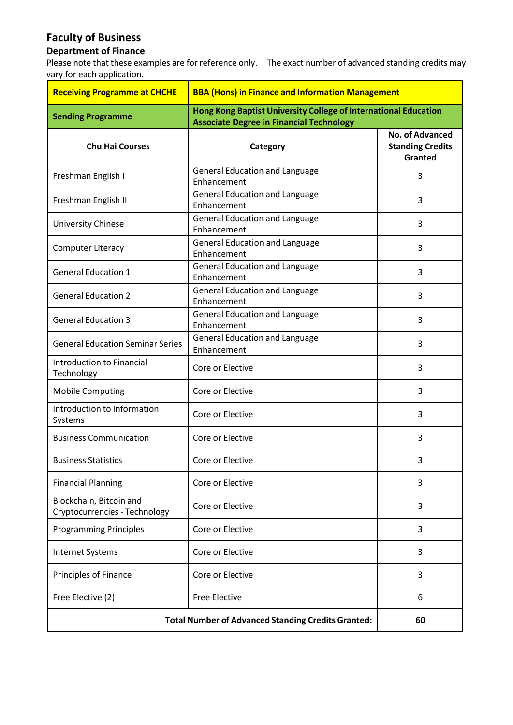## **Faculty of Business**

## **Department of Finance**

Please note that these examples are for reference only. The exact number of advanced standing credits may vary for each application.

| <b>Receiving Programme at CHCHE</b>                       | <b>BBA (Hons) in Finance and Information Management</b>                                                            |                                                              |
|-----------------------------------------------------------|--------------------------------------------------------------------------------------------------------------------|--------------------------------------------------------------|
| <b>Sending Programme</b>                                  | Hong Kong Baptist University College of International Education<br><b>Associate Degree in Financial Technology</b> |                                                              |
| <b>Chu Hai Courses</b>                                    | Category                                                                                                           | <b>No. of Advanced</b><br><b>Standing Credits</b><br>Granted |
| Freshman English I                                        | <b>General Education and Language</b><br>Enhancement                                                               | 3                                                            |
| Freshman English II                                       | <b>General Education and Language</b><br>Enhancement                                                               | 3                                                            |
| University Chinese                                        | <b>General Education and Language</b><br>Enhancement                                                               | 3                                                            |
| <b>Computer Literacy</b>                                  | <b>General Education and Language</b><br>Enhancement                                                               | 3                                                            |
| <b>General Education 1</b>                                | <b>General Education and Language</b><br>Enhancement                                                               | 3                                                            |
| <b>General Education 2</b>                                | <b>General Education and Language</b><br>Enhancement                                                               | 3                                                            |
| <b>General Education 3</b>                                | <b>General Education and Language</b><br>Enhancement                                                               | 3                                                            |
| <b>General Education Seminar Series</b>                   | <b>General Education and Language</b><br>Enhancement                                                               | 3                                                            |
| Introduction to Financial<br>Technology                   | Core or Elective                                                                                                   | 3                                                            |
| <b>Mobile Computing</b>                                   | Core or Elective                                                                                                   | 3                                                            |
| Introduction to Information<br>Systems                    | Core or Elective                                                                                                   | 3                                                            |
| <b>Business Communication</b>                             | Core or Elective                                                                                                   | 3                                                            |
| <b>Business Statistics</b>                                | Core or Elective                                                                                                   | 3                                                            |
| <b>Financial Planning</b>                                 | Core or Elective                                                                                                   | 3                                                            |
| Blockchain, Bitcoin and<br>Cryptocurrencies - Technology  | Core or Elective                                                                                                   | 3                                                            |
| <b>Programming Principles</b>                             | Core or Elective                                                                                                   | 3                                                            |
| <b>Internet Systems</b>                                   | Core or Elective                                                                                                   | 3                                                            |
| Principles of Finance                                     | Core or Elective                                                                                                   | 3                                                            |
| Free Elective (2)                                         | <b>Free Elective</b>                                                                                               | 6                                                            |
| <b>Total Number of Advanced Standing Credits Granted:</b> | 60                                                                                                                 |                                                              |